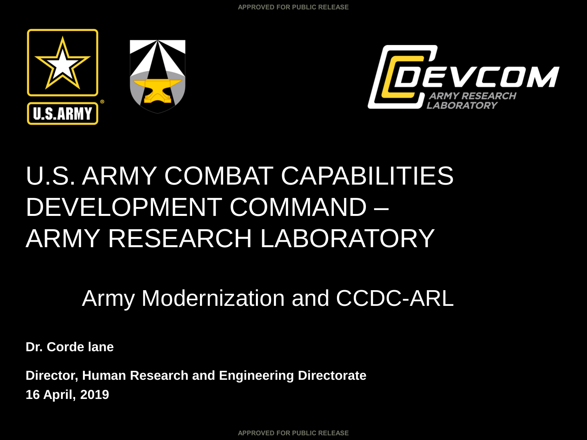



# U.S. ARMY COMBAT CAPABILITIES DEVELOPMENT COMMAND – ARMY RESEARCH LABORATORY

## Army Modernization and CCDC-ARL

**Dr. Corde lane**

**Director, Human Research and Engineering Directorate 16 April, 2019**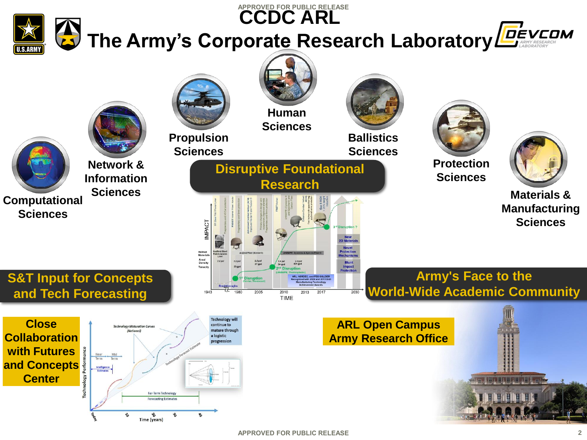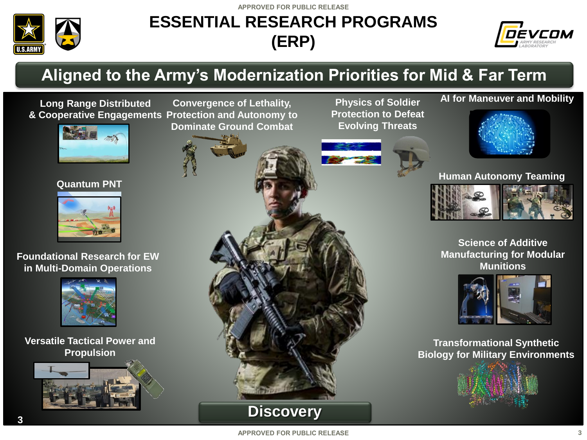**APPROVED FOR PUBLIC RELEASE**



### **ESSENTIAL RESEARCH PROGRAMS (ERP)**



### **Aligned to the Army's Modernization Priorities for Mid & Far Term**

**Long Range Distributed & Cooperative Engagements Protection and Autonomy to Convergence of Lethality,** 



#### **Quantum PNT**



**Foundational Research for EW in Multi-Domain Operations**



**Versatile Tactical Power and Propulsion** 



**Dominate Ground Combat** 



**Physics of Soldier Protection to Defeat Evolving Threats**



#### **AI for Maneuver and Mobility**



### **Human Autonomy Teaming**



**Science of Additive Manufacturing for Modular Munitions**



**Transformational Synthetic Biology for Military Environments**